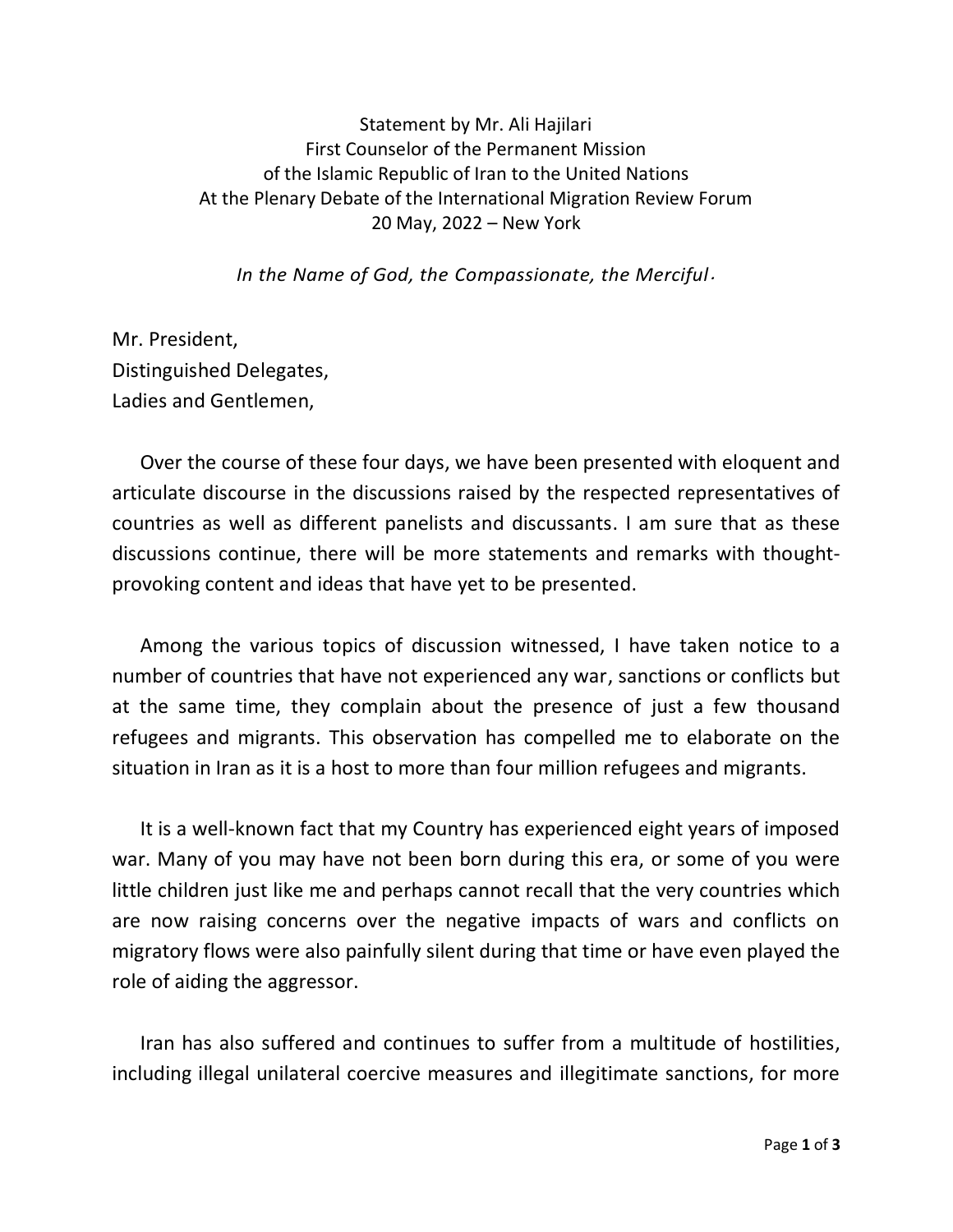## Statement by Mr. Ali Hajilari First Counselor of the Permanent Mission of the Islamic Republic of Iran to the United Nations At the Plenary Debate of the International Migration Review Forum 20 May, 2022 – New York

*In the Name of God, the Compassionate, the Merciful*.

Mr. President, Distinguished Delegates, Ladies and Gentlemen,

Over the course of these four days, we have been presented with eloquent and articulate discourse in the discussions raised by the respected representatives of countries as well as different panelists and discussants. I am sure that as these discussions continue, there will be more statements and remarks with thoughtprovoking content and ideas that have yet to be presented.

Among the various topics of discussion witnessed, I have taken notice to a number of countries that have not experienced any war, sanctions or conflicts but at the same time, they complain about the presence of just a few thousand refugees and migrants. This observation has compelled me to elaborate on the situation in Iran as it is a host to more than four million refugees and migrants.

It is a well-known fact that my Country has experienced eight years of imposed war. Many of you may have not been born during this era, or some of you were little children just like me and perhaps cannot recall that the very countries which are now raising concerns over the negative impacts of wars and conflicts on migratory flows were also painfully silent during that time or have even played the role of aiding the aggressor.

Iran has also suffered and continues to suffer from a multitude of hostilities, including illegal unilateral coercive measures and illegitimate sanctions, for more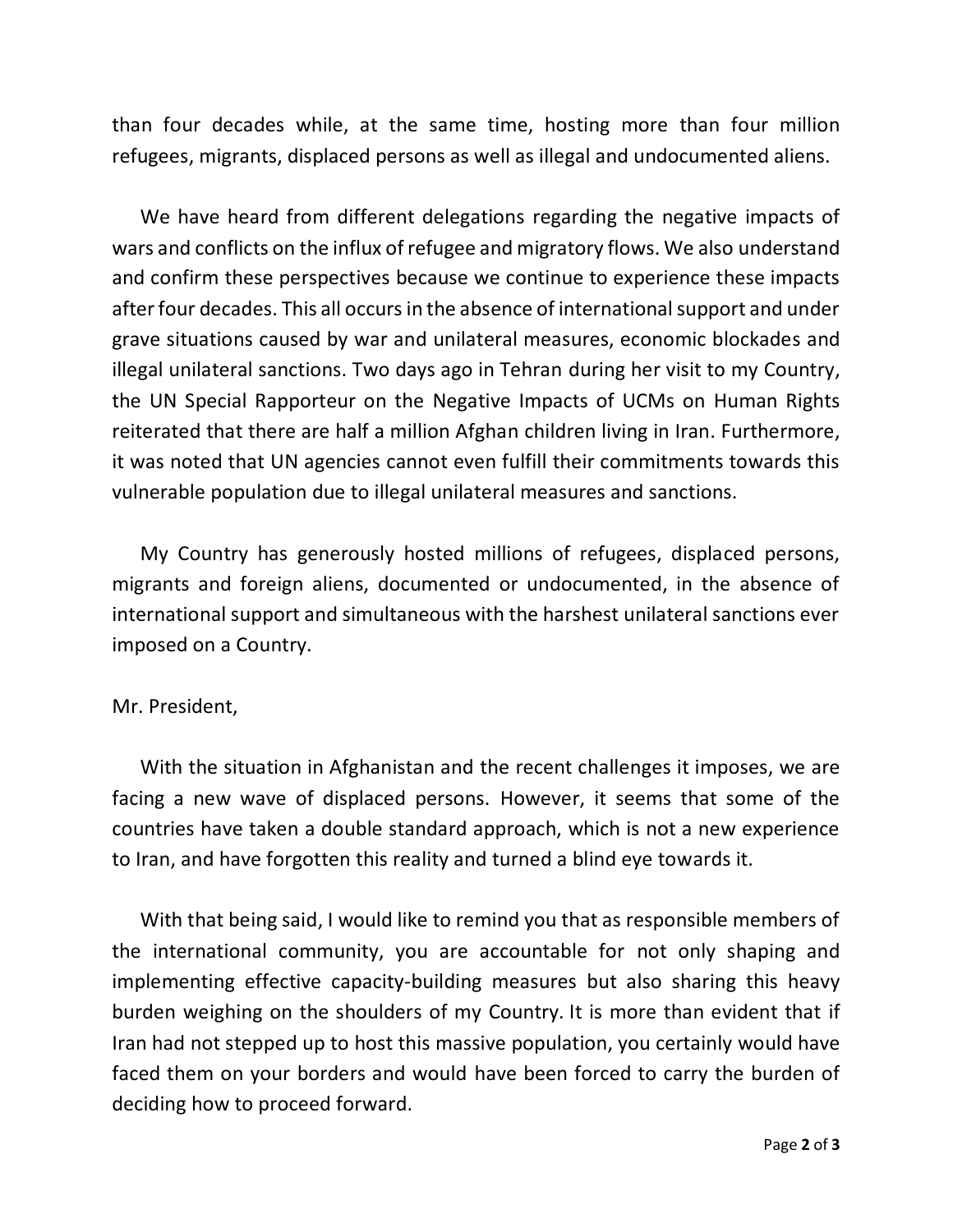than four decades while, at the same time, hosting more than four million refugees, migrants, displaced persons as well as illegal and undocumented aliens.

We have heard from different delegations regarding the negative impacts of wars and conflicts on the influx of refugee and migratory flows. We also understand and confirm these perspectives because we continue to experience these impacts after four decades. This all occurs in the absence of international support and under grave situations caused by war and unilateral measures, economic blockades and illegal unilateral sanctions. Two days ago in Tehran during her visit to my Country, the UN Special Rapporteur on the Negative Impacts of UCMs on Human Rights reiterated that there are half a million Afghan children living in Iran. Furthermore, it was noted that UN agencies cannot even fulfill their commitments towards this vulnerable population due to illegal unilateral measures and sanctions.

My Country has generously hosted millions of refugees, displaced persons, migrants and foreign aliens, documented or undocumented, in the absence of international support and simultaneous with the harshest unilateral sanctions ever imposed on a Country.

## Mr. President,

With the situation in Afghanistan and the recent challenges it imposes, we are facing a new wave of displaced persons. However, it seems that some of the countries have taken a double standard approach, which is not a new experience to Iran, and have forgotten this reality and turned a blind eye towards it.

With that being said, I would like to remind you that as responsible members of the international community, you are accountable for not only shaping and implementing effective capacity-building measures but also sharing this heavy burden weighing on the shoulders of my Country. It is more than evident that if Iran had not stepped up to host this massive population, you certainly would have faced them on your borders and would have been forced to carry the burden of deciding how to proceed forward.